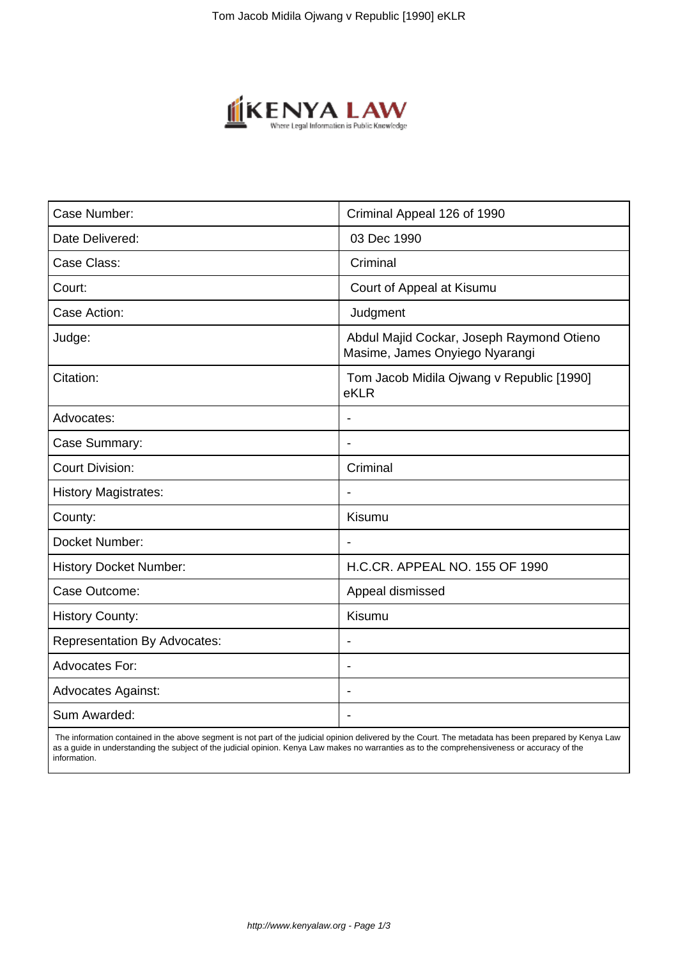

| Case Number:                        | Criminal Appeal 126 of 1990                                                 |
|-------------------------------------|-----------------------------------------------------------------------------|
| Date Delivered:                     | 03 Dec 1990                                                                 |
| Case Class:                         | Criminal                                                                    |
| Court:                              | Court of Appeal at Kisumu                                                   |
| Case Action:                        | Judgment                                                                    |
| Judge:                              | Abdul Majid Cockar, Joseph Raymond Otieno<br>Masime, James Onyiego Nyarangi |
| Citation:                           | Tom Jacob Midila Ojwang v Republic [1990]<br>eKLR                           |
| Advocates:                          |                                                                             |
| Case Summary:                       | $\blacksquare$                                                              |
| <b>Court Division:</b>              | Criminal                                                                    |
| <b>History Magistrates:</b>         |                                                                             |
| County:                             | Kisumu                                                                      |
| Docket Number:                      | $\overline{\phantom{a}}$                                                    |
| <b>History Docket Number:</b>       | H.C.CR. APPEAL NO. 155 OF 1990                                              |
| Case Outcome:                       | Appeal dismissed                                                            |
| <b>History County:</b>              | Kisumu                                                                      |
| <b>Representation By Advocates:</b> | $\blacksquare$                                                              |
| <b>Advocates For:</b>               | ÷                                                                           |
| <b>Advocates Against:</b>           |                                                                             |
| Sum Awarded:                        |                                                                             |
|                                     |                                                                             |

 The information contained in the above segment is not part of the judicial opinion delivered by the Court. The metadata has been prepared by Kenya Law as a guide in understanding the subject of the judicial opinion. Kenya Law makes no warranties as to the comprehensiveness or accuracy of the information.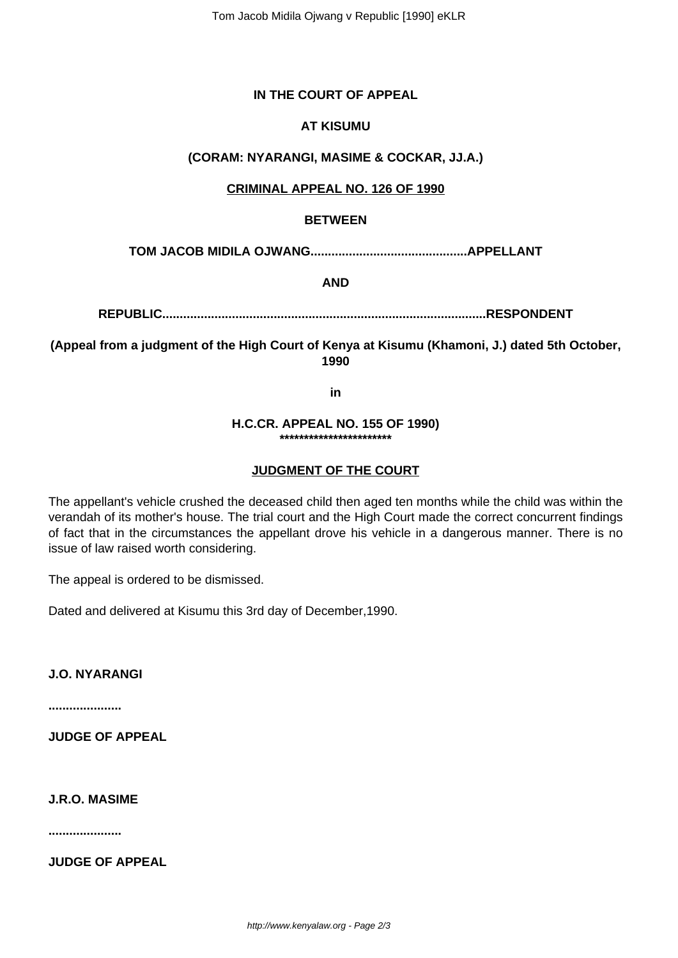# **IN THE COURT OF APPEAL**

## **AT KISUMU**

## **(CORAM: NYARANGI, MASIME & COCKAR, JJ.A.)**

### **CRIMINAL APPEAL NO. 126 OF 1990**

### **BETWEEN**

**TOM JACOB MIDILA OJWANG.............................................APPELLANT**

**AND**

**REPUBLIC.............................................................................................RESPONDENT**

**(Appeal from a judgment of the High Court of Kenya at Kisumu (Khamoni, J.) dated 5th October, 1990**

**in**

#### **H.C.CR. APPEAL NO. 155 OF 1990) \*\*\*\*\*\*\*\*\*\*\*\*\*\*\*\*\*\*\*\*\*\*\***

### **JUDGMENT OF THE COURT**

The appellant's vehicle crushed the deceased child then aged ten months while the child was within the verandah of its mother's house. The trial court and the High Court made the correct concurrent findings of fact that in the circumstances the appellant drove his vehicle in a dangerous manner. There is no issue of law raised worth considering.

The appeal is ordered to be dismissed.

Dated and delivered at Kisumu this 3rd day of December,1990.

**J.O. NYARANGI**

**.....................**

**JUDGE OF APPEAL**

**J.R.O. MASIME**

**.....................**

**JUDGE OF APPEAL**